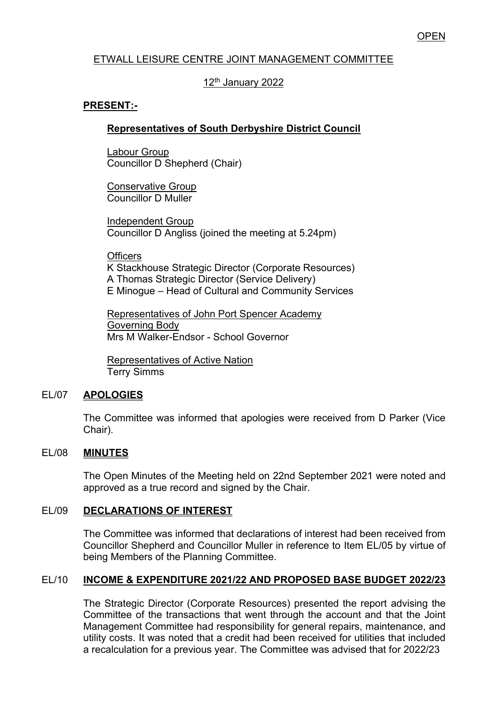# ETWALL LEISURE CENTRE JOINT MANAGEMENT COMMITTEE

# 12<sup>th</sup> January 2022

## **PRESENT:-**

## **Representatives of South Derbyshire District Council**

Labour Group Councillor D Shepherd (Chair)

Conservative Group Councillor D Muller

Independent Group Councillor D Angliss (joined the meeting at 5.24pm)

**Officers** 

K Stackhouse Strategic Director (Corporate Resources) A Thomas Strategic Director (Service Delivery) E Minogue – Head of Cultural and Community Services

Representatives of John Port Spencer Academy Governing Body Mrs M Walker-Endsor - School Governor

Representatives of Active Nation Terry Simms

#### EL/07 **APOLOGIES**

The Committee was informed that apologies were received from D Parker (Vice Chair).

#### EL/08 **MINUTES**

The Open Minutes of the Meeting held on 22nd September 2021 were noted and approved as a true record and signed by the Chair.

## EL/09 **DECLARATIONS OF INTEREST**

 The Committee was informed that declarations of interest had been received from Councillor Shepherd and Councillor Muller in reference to Item EL/05 by virtue of being Members of the Planning Committee.

## EL/10 **INCOME & EXPENDITURE 2021/22 AND PROPOSED BASE BUDGET 2022/23**

The Strategic Director (Corporate Resources) presented the report advising the Committee of the transactions that went through the account and that the Joint Management Committee had responsibility for general repairs, maintenance, and utility costs. It was noted that a credit had been received for utilities that included a recalculation for a previous year. The Committee was advised that for 2022/23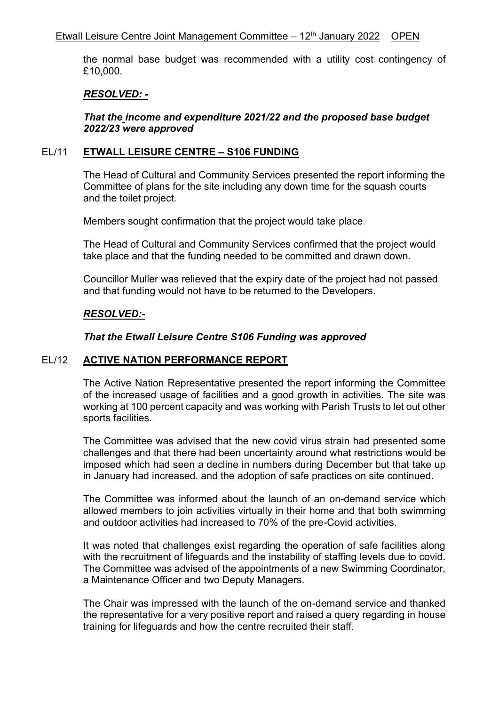the normal base budget was recommended with a utility cost contingency of £10,000.

## *RESOLVED: -*

*That the income and expenditure 2021/22 and the proposed base budget 2022/23 were approved* 

### EL/11 **ETWALL LEISURE CENTRE – S106 FUNDING**

The Head of Cultural and Community Services presented the report informing the Committee of plans for the site including any down time for the squash courts and the toilet project.

Members sought confirmation that the project would take place.

The Head of Cultural and Community Services confirmed that the project would take place and that the funding needed to be committed and drawn down.

Councillor Muller was relieved that the expiry date of the project had not passed and that funding would not have to be returned to the Developers.

## *RESOLVED:-*

## *That the Etwall Leisure Centre S106 Funding was approved*

## EL/12 **ACTIVE NATION PERFORMANCE REPORT**

The Active Nation Representative presented the report informing the Committee of the increased usage of facilities and a good growth in activities. The site was working at 100 percent capacity and was working with Parish Trusts to let out other sports facilities.

The Committee was advised that the new covid virus strain had presented some challenges and that there had been uncertainty around what restrictions would be imposed which had seen a decline in numbers during December but that take up in January had increased. and the adoption of safe practices on site continued.

The Committee was informed about the launch of an on-demand service which allowed members to join activities virtually in their home and that both swimming and outdoor activities had increased to 70% of the pre-Covid activities.

It was noted that challenges exist regarding the operation of safe facilities along with the recruitment of lifeguards and the instability of staffing levels due to covid. The Committee was advised of the appointments of a new Swimming Coordinator, a Maintenance Officer and two Deputy Managers.

The Chair was impressed with the launch of the on-demand service and thanked the representative for a very positive report and raised a query regarding in house training for lifeguards and how the centre recruited their staff.